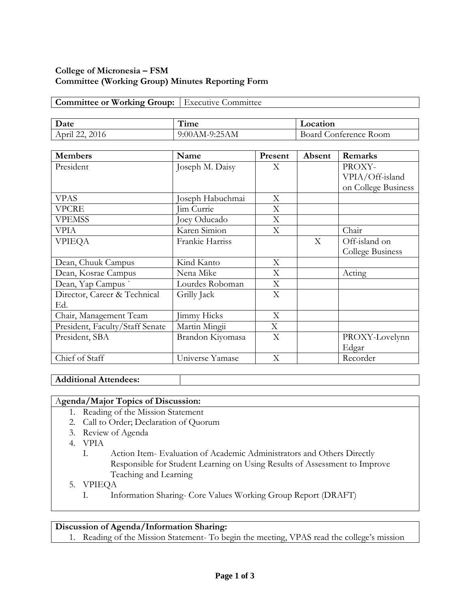# **College of Micronesia – FSM Committee (Working Group) Minutes Reporting Form**

# **Committee or Working Group:** Executive Committee

| Date              | $-1$<br>1 ime | Location                 |  |
|-------------------|---------------|--------------------------|--|
| April 22,<br>2016 | 9:00AM-9:25AM | Conference Room<br>Board |  |

| <b>Members</b>                  | Name             | Present | Absent | Remarks             |
|---------------------------------|------------------|---------|--------|---------------------|
| President                       | Joseph M. Daisy  | X       |        | PROXY-              |
|                                 |                  |         |        | VPIA/Off-island     |
|                                 |                  |         |        | on College Business |
| <b>VPAS</b>                     | Joseph Habuchmai | X       |        |                     |
| VPCRE                           | Jim Currie       | X       |        |                     |
| <b>VPEMSS</b>                   | Joey Oducado     | X       |        |                     |
| VPIA                            | Karen Simion     | X       |        | Chair               |
| VPIEQA                          | Frankie Harriss  |         | X      | Off-island on       |
|                                 |                  |         |        | College Business    |
| Dean, Chuuk Campus              | Kind Kanto       | X       |        |                     |
| Dean, Kosrae Campus             | Nena Mike        | X       |        | Acting              |
| Dean, Yap Campus                | Lourdes Roboman  | X       |        |                     |
| Director, Career & Technical    | Grilly Jack      | X       |        |                     |
| Ed.                             |                  |         |        |                     |
| Chair, Management Team          | Jimmy Hicks      | X       |        |                     |
| President, Faculty/Staff Senate | Martin Mingii    | X       |        |                     |
| President, SBA                  | Brandon Kiyomasa | X       |        | PROXY-Lovelynn      |
|                                 |                  |         |        | Edgar               |
| Chief of Staff                  | Universe Yamase  | X       |        | Recorder            |

**Additional Attendees:**

## A**genda/Major Topics of Discussion:**

- 1. Reading of the Mission Statement
- 2. Call to Order; Declaration of Quorum
- 3. Review of Agenda
- 4. VPIA
	- I. Action Item- Evaluation of Academic Administrators and Others Directly Responsible for Student Learning on Using Results of Assessment to Improve Teaching and Learning
- 5. VPIEQA
	- I. Information Sharing- Core Values Working Group Report (DRAFT)

### **Discussion of Agenda/Information Sharing:**

1. Reading of the Mission Statement- To begin the meeting, VPAS read the college's mission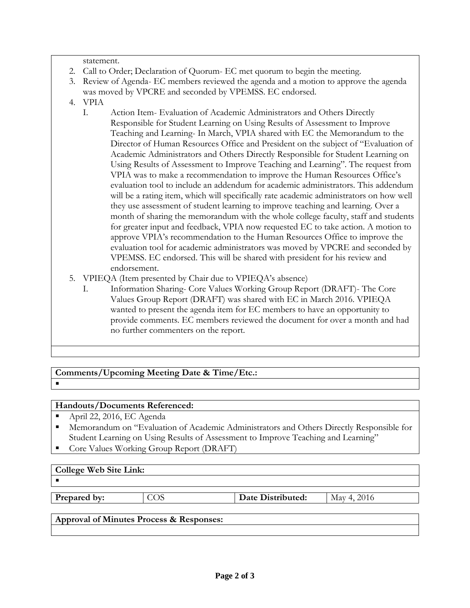statement.

- 2. Call to Order; Declaration of Quorum- EC met quorum to begin the meeting.
- 3. Review of Agenda- EC members reviewed the agenda and a motion to approve the agenda was moved by VPCRE and seconded by VPEMSS. EC endorsed.
- 4. VPIA
	- I. Action Item- Evaluation of Academic Administrators and Others Directly Responsible for Student Learning on Using Results of Assessment to Improve Teaching and Learning- In March, VPIA shared with EC the Memorandum to the Director of Human Resources Office and President on the subject of "Evaluation of Academic Administrators and Others Directly Responsible for Student Learning on Using Results of Assessment to Improve Teaching and Learning". The request from VPIA was to make a recommendation to improve the Human Resources Office's evaluation tool to include an addendum for academic administrators. This addendum will be a rating item, which will specifically rate academic administrators on how well they use assessment of student learning to improve teaching and learning. Over a month of sharing the memorandum with the whole college faculty, staff and students for greater input and feedback, VPIA now requested EC to take action. A motion to approve VPIA's recommendation to the Human Resources Office to improve the evaluation tool for academic administrators was moved by VPCRE and seconded by VPEMSS. EC endorsed. This will be shared with president for his review and endorsement.
- 5. VPIEQA (Item presented by Chair due to VPIEQA's absence)
	- I. Information Sharing- Core Values Working Group Report (DRAFT)- The Core Values Group Report (DRAFT) was shared with EC in March 2016. VPIEQA wanted to present the agenda item for EC members to have an opportunity to provide comments. EC members reviewed the document for over a month and had no further commenters on the report.

#### **Comments/Upcoming Meeting Date & Time/Etc.:**  $\blacksquare$

## **Handouts/Documents Referenced:**

- April 22, 2016, EC Agenda
- Memorandum on "Evaluation of Academic Administrators and Others Directly Responsible for Student Learning on Using Results of Assessment to Improve Teaching and Learning"
- Core Values Working Group Report (DRAFT)

## **College Web Site Link:**

.

**Prepared by:** COS **Date Distributed:** May 4, 2016

### **Approval of Minutes Process & Responses:**